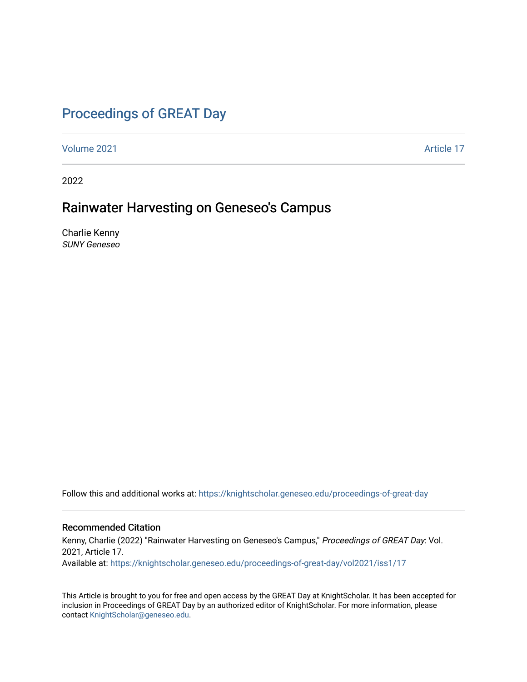## [Proceedings of GREAT Day](https://knightscholar.geneseo.edu/proceedings-of-great-day)

[Volume 2021](https://knightscholar.geneseo.edu/proceedings-of-great-day/vol2021) **Article 17** 

2022

## Rainwater Harvesting on Geneseo's Campus

Charlie Kenny SUNY Geneseo

Follow this and additional works at: [https://knightscholar.geneseo.edu/proceedings-of-great-day](https://knightscholar.geneseo.edu/proceedings-of-great-day?utm_source=knightscholar.geneseo.edu%2Fproceedings-of-great-day%2Fvol2021%2Fiss1%2F17&utm_medium=PDF&utm_campaign=PDFCoverPages) 

#### Recommended Citation

Kenny, Charlie (2022) "Rainwater Harvesting on Geneseo's Campus," Proceedings of GREAT Day: Vol. 2021, Article 17. Available at: [https://knightscholar.geneseo.edu/proceedings-of-great-day/vol2021/iss1/17](https://knightscholar.geneseo.edu/proceedings-of-great-day/vol2021/iss1/17?utm_source=knightscholar.geneseo.edu%2Fproceedings-of-great-day%2Fvol2021%2Fiss1%2F17&utm_medium=PDF&utm_campaign=PDFCoverPages)

This Article is brought to you for free and open access by the GREAT Day at KnightScholar. It has been accepted for inclusion in Proceedings of GREAT Day by an authorized editor of KnightScholar. For more information, please contact [KnightScholar@geneseo.edu.](mailto:KnightScholar@geneseo.edu)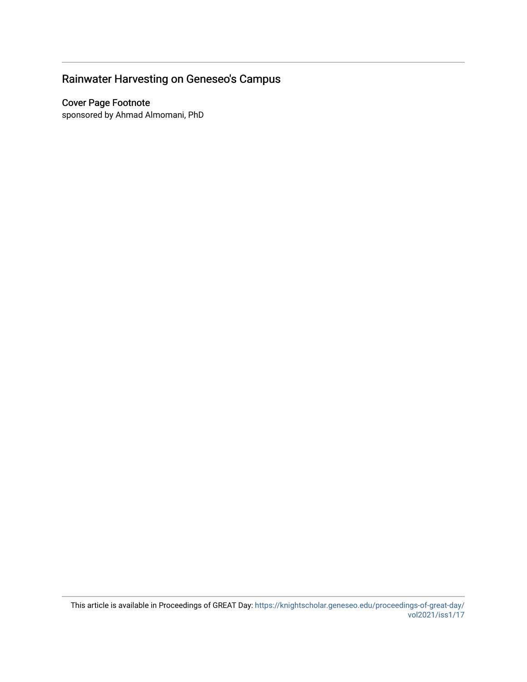## Rainwater Harvesting on Geneseo's Campus

#### Cover Page Footnote

sponsored by Ahmad Almomani, PhD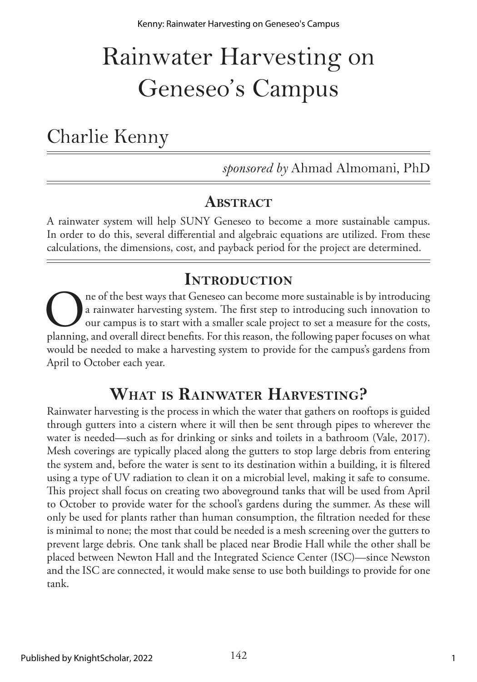# Rainwater Harvesting on Geneseo's Campus

Charlie Kenny

*sponsored by* Ahmad Almomani, PhD

## **Abstract**

A rainwater system will help SUNY Geneseo to become a more sustainable campus. In order to do this, several differential and algebraic equations are utilized. From these calculations, the dimensions, cost, and payback period for the project are determined.

## **Introduction**

One of the best ways that Geneseo can become more sustainable is by introducing a rainwater harvesting system. The first step to introducing such innovation to our campus is to start with a smaller scale project to set a m a rainwater harvesting system. The first step to introducing such innovation to our campus is to start with a smaller scale project to set a measure for the costs, planning, and overall direct benefits. For this reason, the following paper focuses on what would be needed to make a harvesting system to provide for the campus's gardens from April to October each year.

## **What is Rainwater Harvesting?**

Rainwater harvesting is the process in which the water that gathers on rooftops is guided through gutters into a cistern where it will then be sent through pipes to wherever the water is needed—such as for drinking or sinks and toilets in a bathroom (Vale, 2017). Mesh coverings are typically placed along the gutters to stop large debris from entering the system and, before the water is sent to its destination within a building, it is filtered using a type of UV radiation to clean it on a microbial level, making it safe to consume. This project shall focus on creating two aboveground tanks that will be used from April to October to provide water for the school's gardens during the summer. As these will only be used for plants rather than human consumption, the filtration needed for these is minimal to none; the most that could be needed is a mesh screening over the gutters to prevent large debris. One tank shall be placed near Brodie Hall while the other shall be placed between Newton Hall and the Integrated Science Center (ISC)—since Newston and the ISC are connected, it would make sense to use both buildings to provide for one tank.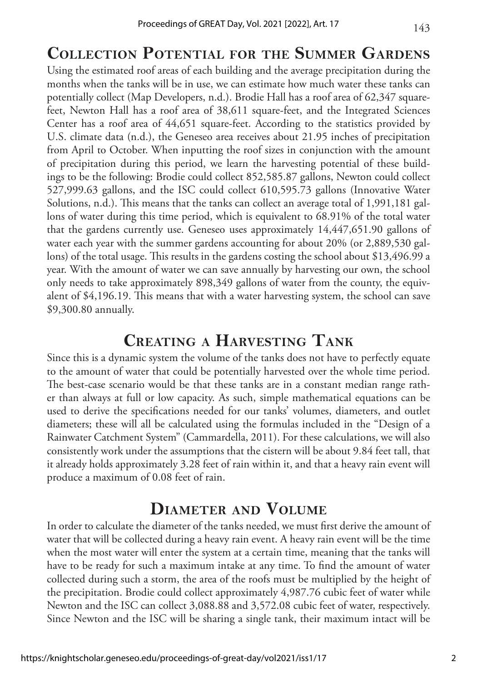## **Collection Potential for the Summer Gardens**

Using the estimated roof areas of each building and the average precipitation during the months when the tanks will be in use, we can estimate how much water these tanks can potentially collect (Map Developers, n.d.). Brodie Hall has a roof area of 62,347 squarefeet, Newton Hall has a roof area of 38,611 square-feet, and the Integrated Sciences Center has a roof area of 44,651 square-feet. According to the statistics provided by U.S. climate data (n.d.), the Geneseo area receives about 21.95 inches of precipitation from April to October. When inputting the roof sizes in conjunction with the amount of precipitation during this period, we learn the harvesting potential of these buildings to be the following: Brodie could collect 852,585.87 gallons, Newton could collect 527,999.63 gallons, and the ISC could collect 610,595.73 gallons (Innovative Water Solutions, n.d.). This means that the tanks can collect an average total of 1,991,181 gallons of water during this time period, which is equivalent to 68.91% of the total water that the gardens currently use. Geneseo uses approximately 14,447,651.90 gallons of water each year with the summer gardens accounting for about 20% (or 2,889,530 gallons) of the total usage. This results in the gardens costing the school about \$13,496.99 a year. With the amount of water we can save annually by harvesting our own, the school only needs to take approximately 898,349 gallons of water from the county, the equivalent of \$4,196.19. This means that with a water harvesting system, the school can save \$9,300.80 annually.

## **Creating <sup>a</sup> Harvesting Tank**

Since this is a dynamic system the volume of the tanks does not have to perfectly equate to the amount of water that could be potentially harvested over the whole time period. The best-case scenario would be that these tanks are in a constant median range rather than always at full or low capacity. As such, simple mathematical equations can be used to derive the specifications needed for our tanks' volumes, diameters, and outlet diameters; these will all be calculated using the formulas included in the "Design of a Rainwater Catchment System" (Cammardella, 2011). For these calculations, we will also consistently work under the assumptions that the cistern will be about 9.84 feet tall, that it already holds approximately 3.28 feet of rain within it, and that a heavy rain event will produce a maximum of 0.08 feet of rain.

## **Diameter and Volume**

In order to calculate the diameter of the tanks needed, we must first derive the amount of water that will be collected during a heavy rain event. A heavy rain event will be the time when the most water will enter the system at a certain time, meaning that the tanks will have to be ready for such a maximum intake at any time. To find the amount of water collected during such a storm, the area of the roofs must be multiplied by the height of the precipitation. Brodie could collect approximately 4,987.76 cubic feet of water while Newton and the ISC can collect 3,088.88 and 3,572.08 cubic feet of water, respectively. Since Newton and the ISC will be sharing a single tank, their maximum intact will be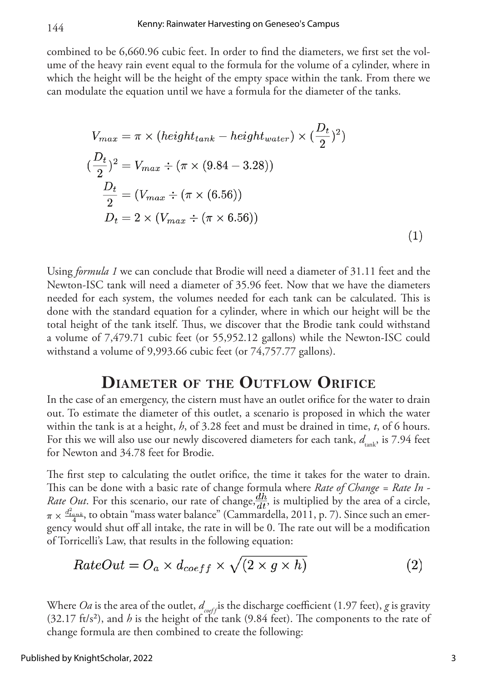combined to be 6,660.96 cubic feet. In order to find the diameters, we first set the volume of the heavy rain event equal to the formula for the volume of a cylinder, where in which the height will be the height of the empty space within the tank. From there we can modulate the equation until we have a formula for the diameter of the tanks.

$$
V_{max} = \pi \times (height_{tank} - height_{water}) \times (\frac{D_t}{2})^2)
$$
  
\n
$$
(\frac{D_t}{2})^2 = V_{max} \div (\pi \times (9.84 - 3.28))
$$
  
\n
$$
\frac{D_t}{2} = (V_{max} \div (\pi \times (6.56))
$$
  
\n
$$
D_t = 2 \times (V_{max} \div (\pi \times 6.56))
$$
\n(1)

Using *formula 1* we can conclude that Brodie will need a diameter of 31.11 feet and the Newton-ISC tank will need a diameter of 35.96 feet. Now that we have the diameters needed for each system, the volumes needed for each tank can be calculated. This is done with the standard equation for a cylinder, where in which our height will be the total height of the tank itself. Thus, we discover that the Brodie tank could withstand a volume of 7,479.71 cubic feet (or 55,952.12 gallons) while the Newton-ISC could withstand a volume of 9,993.66 cubic feet (or 74,757.77 gallons).

### **Diameter of the Outflow Orifice**

In the case of an emergency, the cistern must have an outlet orifice for the water to drain out. To estimate the diameter of this outlet, a scenario is proposed in which the water within the tank is at a height, *h*, of 3.28 feet and must be drained in time, *t*, of 6 hours. For this we will also use our newly discovered diameters for each tank,  $d_{\text{rank}}$ , is 7.94 feet for Newton and 34.78 feet for Brodie.

The first step to calculating the outlet orifice, the time it takes for the water to drain. This can be done with a basic rate of change formula where *Rate of Change = Rate In - Rate Out*. For this scenario, our rate of change,  $\frac{dh}{dt}$ , is multiplied by the area of a circle,  $\pi \times \frac{d_{tanh}^2}{4}$ , to obtain "mass water balance" (Cammardella, 2011, p. 7). Since such an emergency would shut off all intake, the rate in will be 0. The rate out will be a modification of Torricelli's Law, that results in the following equation:

$$
RateOut = O_a \times d_{coeff} \times \sqrt{(2 \times g \times h)}
$$
 (2)

Where *Oa* is the area of the outlet,  $d_{\text{coeff}}$  is the discharge coefficient (1.97 feet), *g* is gravity (32.17 ft/s²), and *h* is the height of the tank (9.84 feet). The components to the rate of change formula are then combined to create the following: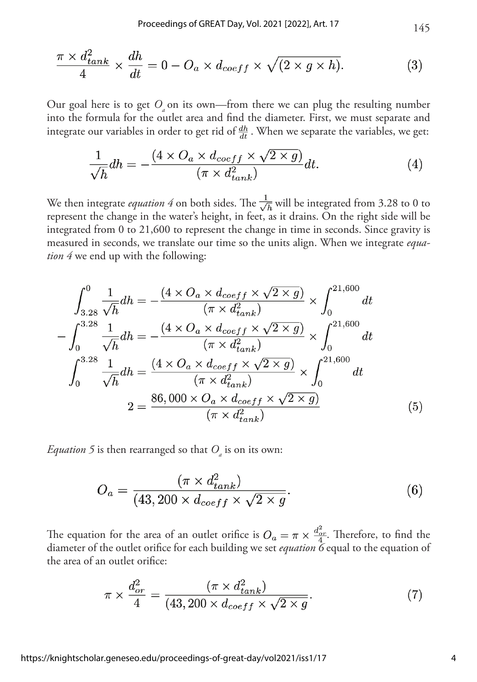$$
\frac{\pi \times d_{tank}^2}{4} \times \frac{dh}{dt} = 0 - O_a \times d_{coeff} \times \sqrt{(2 \times g \times h)}.
$$
 (3)

Our goal here is to get  $O_{q}$  on its own—from there we can plug the resulting number into the formula for the outlet area and find the diameter. First, we must separate and integrate our variables in order to get rid of  $\frac{dh}{dt}$ . When we separate the variables, we get:

$$
\frac{1}{\sqrt{h}}dh = -\frac{(4 \times O_a \times d_{coeff} \times \sqrt{2 \times g})}{(\pi \times d_{tank}^2)}dt.
$$
\n(4)

We then integrate *equation 4* on both sides. The  $\frac{1}{\sqrt{h}}$  will be integrated from 3.28 to 0 to represent the change in the water's height, in feet, as it drains. On the right side will be integrated from 0 to 21,600 to represent the change in time in seconds. Since gravity is measured in seconds, we translate our time so the units align. When we integrate *equation 4* we end up with the following:

$$
\int_{3.28}^{0} \frac{1}{\sqrt{h}} dh = -\frac{(4 \times O_a \times d_{coeff} \times \sqrt{2 \times g})}{(\pi \times d_{tank}^2)} \times \int_{0}^{21,600} dt
$$

$$
-\int_{0}^{3.28} \frac{1}{\sqrt{h}} dh = -\frac{(4 \times O_a \times d_{coeff} \times \sqrt{2 \times g})}{(\pi \times d_{tank}^2)} \times \int_{0}^{21,600} dt
$$

$$
\int_{0}^{3.28} \frac{1}{\sqrt{h}} dh = \frac{(4 \times O_a \times d_{coeff} \times \sqrt{2 \times g})}{(\pi \times d_{tank}^2)} \times \int_{0}^{21,600} dt
$$

$$
2 = \frac{86,000 \times O_a \times d_{coeff} \times \sqrt{2 \times g}}{(\pi \times d_{tank}^2)}
$$
(5)

*Equation 5* is then rearranged so that  $O_a$  is on its own:

$$
O_a = \frac{(\pi \times d_{tank}^2)}{(43,200 \times d_{coeff} \times \sqrt{2 \times g}}.\tag{6}
$$

The equation for the area of an outlet orifice is  $O_a = \pi \times \frac{d^2_{or}}{4}$ . Therefore, to find the diameter of the outlet orifice for each building we set *equation 6* equal to the equation of the area of an outlet orifice:

$$
\pi \times \frac{d_{or}^2}{4} = \frac{(\pi \times d_{tank}^2)}{(43,200 \times d_{coeff} \times \sqrt{2 \times g}}.\tag{7}
$$

145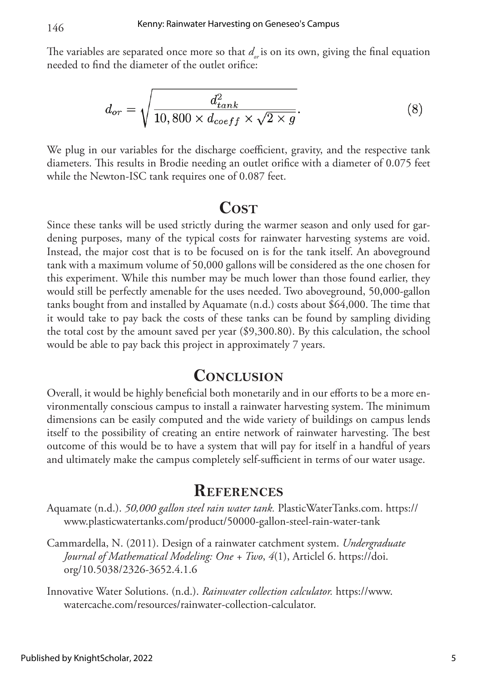The variables are separated once more so that  $d_{\alpha}$  is on its own, giving the final equation needed to find the diameter of the outlet orifice:

$$
d_{or} = \sqrt{\frac{d_{tank}^2}{10,800 \times d_{coeff} \times \sqrt{2 \times g}}}.
$$
\n(8)

We plug in our variables for the discharge coefficient, gravity, and the respective tank diameters. This results in Brodie needing an outlet orifice with a diameter of 0.075 feet while the Newton-ISC tank requires one of 0.087 feet.

## **Cost**

Since these tanks will be used strictly during the warmer season and only used for gardening purposes, many of the typical costs for rainwater harvesting systems are void. Instead, the major cost that is to be focused on is for the tank itself. An aboveground tank with a maximum volume of 50,000 gallons will be considered as the one chosen for this experiment. While this number may be much lower than those found earlier, they would still be perfectly amenable for the uses needed. Two aboveground, 50,000-gallon tanks bought from and installed by Aquamate (n.d.) costs about \$64,000. The time that it would take to pay back the costs of these tanks can be found by sampling dividing the total cost by the amount saved per year (\$9,300.80). By this calculation, the school would be able to pay back this project in approximately 7 years.

## **Conclusion**

Overall, it would be highly beneficial both monetarily and in our efforts to be a more environmentally conscious campus to install a rainwater harvesting system. The minimum dimensions can be easily computed and the wide variety of buildings on campus lends itself to the possibility of creating an entire network of rainwater harvesting. The best outcome of this would be to have a system that will pay for itself in a handful of years and ultimately make the campus completely self-sufficient in terms of our water usage.

#### **References**

Aquamate (n.d.). *50,000 gallon steel rain water tank.* PlasticWaterTanks.com. [https://](https://www.plasticwatertanks.com/product/50000-gallon-steel-rain-water-tank) [www.plasticwatertanks.com/product/50000-gallon-steel-rain-water-tank](https://www.plasticwatertanks.com/product/50000-gallon-steel-rain-water-tank)

Cammardella, N. (2011). Design of a rainwater catchment system. *Undergraduate Journal of Mathematical Modeling: One + Two*, *4*(1), Articlel 6. [https://doi.](https://doi.org/10.5038/2326-3652.4.1.6) [org/10.5038/2326-3652.4.1.6](https://doi.org/10.5038/2326-3652.4.1.6)

Innovative Water Solutions. (n.d.). *Rainwater collection calculator.* [https://www.](https://www.watercache.com/resources/rainwater-collection-calculator) [watercache.com/resources/rainwater-collection-calculator.](https://www.watercache.com/resources/rainwater-collection-calculator)